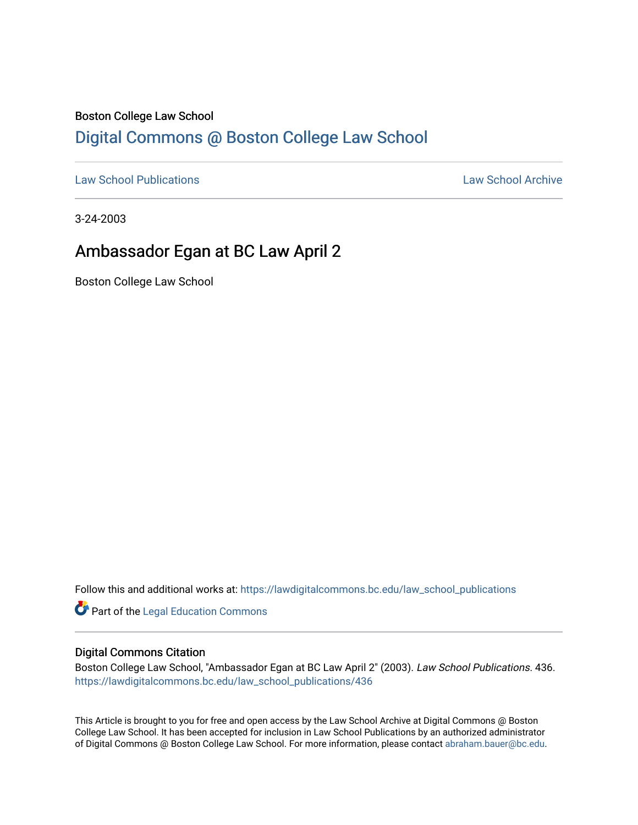#### Boston College Law School

## [Digital Commons @ Boston College Law School](https://lawdigitalcommons.bc.edu/)

[Law School Publications](https://lawdigitalcommons.bc.edu/law_school_publications) [Law School Archive](https://lawdigitalcommons.bc.edu/archive) 

3-24-2003

## Ambassador Egan at BC Law April 2

Boston College Law School

Follow this and additional works at: [https://lawdigitalcommons.bc.edu/law\\_school\\_publications](https://lawdigitalcommons.bc.edu/law_school_publications?utm_source=lawdigitalcommons.bc.edu%2Flaw_school_publications%2F436&utm_medium=PDF&utm_campaign=PDFCoverPages) 

Part of the [Legal Education Commons](http://network.bepress.com/hgg/discipline/857?utm_source=lawdigitalcommons.bc.edu%2Flaw_school_publications%2F436&utm_medium=PDF&utm_campaign=PDFCoverPages) 

#### Digital Commons Citation

Boston College Law School, "Ambassador Egan at BC Law April 2" (2003). Law School Publications. 436. [https://lawdigitalcommons.bc.edu/law\\_school\\_publications/436](https://lawdigitalcommons.bc.edu/law_school_publications/436?utm_source=lawdigitalcommons.bc.edu%2Flaw_school_publications%2F436&utm_medium=PDF&utm_campaign=PDFCoverPages) 

This Article is brought to you for free and open access by the Law School Archive at Digital Commons @ Boston College Law School. It has been accepted for inclusion in Law School Publications by an authorized administrator of Digital Commons @ Boston College Law School. For more information, please contact [abraham.bauer@bc.edu.](mailto:abraham.bauer@bc.edu)